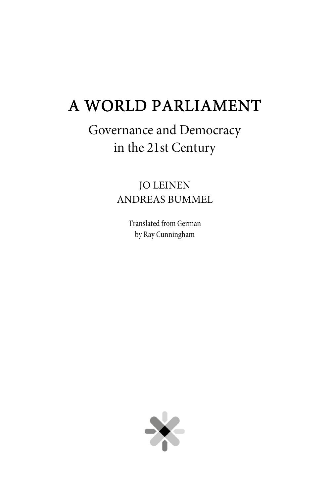# A WORLD PARLIAMENT

# Governance and Democracy in the 21st Century

# JO LEINEN ANDREAS BUMMEL

Translated from German by Ray Cunningham

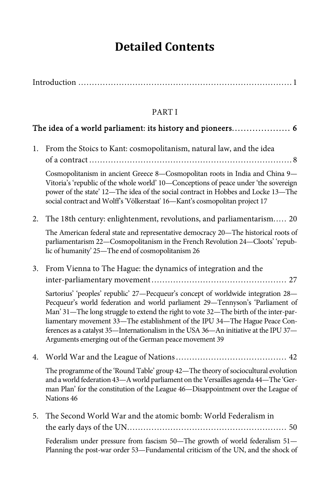# **Detailed Contents**

|--|--|

### PART I

## The idea of a world parliament: its history and pioneers . . . . . . . . . . . . . . . . . . . . 6

1. From the Stoics to Kant: cosmopolitanism, natural law, and the idea of a contract ........................................................................... 8

Cosmopolitanism in ancient Greece 8—Cosmopolitan roots in India and China 9— Vitoria's 'republic of the whole world' 10—Conceptions of peace under 'the sovereign power of the state' 12—The idea of the social contract in Hobbes and Locke 13—The social contract and Wolff's 'Völkerstaat' 16—Kant's cosmopolitan project 17

2. The 18th century: enlightenment, revolutions, and parliamentarism..... 20

The American federal state and representative democracy 20—The historical roots of parliamentarism 22—Cosmopolitanism in the French Revolution 24—Cloots' 'republic of humanity' 25—The end of cosmopolitanism 26

3. From Vienna to The Hague: the dynamics of integration and the inter-parliamentary movement .................................................. 27

Sartorius' 'peoples' republic' 27—Pecqueur's concept of worldwide integration 28— Pecqueur's world federation and world parliament 29—Tennyson's 'Parliament of Man' 31—The long struggle to extend the right to vote 32—The birth of the inter-parliamentary movement 33—The establishment of the IPU 34—The Hague Peace Conferences as a catalyst 35—Internationalism in the USA 36—An initiative at the IPU 37— Arguments emerging out of the German peace movement 39

4. World War and the League of Nations ......................................... 42

The programme of the 'Round Table' group 42—The theory of sociocultural evolution and a world federation 43—A world parliament on the Versailles agenda 44—The 'German Plan' for the constitution of the League 46—Disappointment over the League of Nations 46

5. The Second World War and the atomic bomb: World Federalism in the early days of the UN ........................................................... 50 Federalism under pressure from fascism 50—The growth of world federalism 51— Planning the post-war order 53—Fundamental criticism of the UN, and the shock of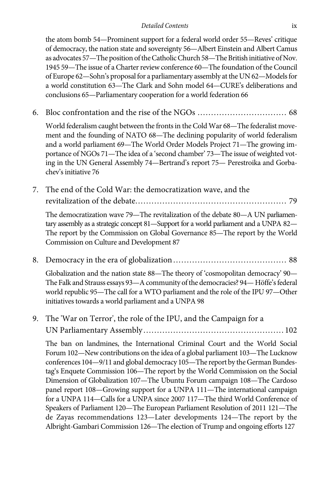the atom bomb 54—Prominent support for a federal world order 55—Reves' critique of democracy, the nation state and sovereignty 56—Albert Einstein and Albert Camus as advocates 57—The position of the Catholic Church 58—The British initiative of Nov. 1945 59—The issue of a Charter review conference 60—The foundation of the Council of Europe 62—Sohn's proposal for a parliamentary assembly at the UN 62—Models for a world constitution 63—The Clark and Sohn model 64—CURE's deliberations and conclusions 65—Parliamentary cooperation for a world federation 66

6. Bloc confrontation and the rise of the NGOs ................................. 68

World federalism caught between the fronts in the Cold War 68—The federalist movement and the founding of NATO 68—The declining popularity of world federalism and a world parliament 69—The World Order Models Project 71—The growing importance of NGOs 71—The idea of a 'second chamber' 73—The issue of weighted voting in the UN General Assembly 74—Bertrand's report 75— Perestroika and Gorbachev's initiative 76

7. The end of the Cold War: the democratization wave, and the revitalization of the debate ........................................................ 79

The democratization wave 79—The revitalization of the debate 80—A UN parliamentary assembly as a strategic concept 81—Support for a world parliament and a UNPA 82— The report by the Commission on Global Governance 85—The report by the World Commission on Culture and Development 87

8. Democracy in the era of globalization .......................................... 88

Globalization and the nation state 88—The theory of 'cosmopolitan democracy' 90— The Falk and Strauss essays 93—A community of the democracies? 94— Höffe's federal world republic 95—The call for a WTO parliament and the role of the IPU 97—Other initiatives towards a world parliament and a UNPA 98

9. The 'War on Terror', the role of the IPU, and the Campaign for a UN Parliamentary Assembly .................................................... 102

The ban on landmines, the International Criminal Court and the World Social Forum 102—New contributions on the idea of a global parliament 103—The Lucknow conferences 104—9/11 and global democracy 105—The report by the German Bundestag's Enquete Commission 106—The report by the World Commission on the Social Dimension of Globalization 107—The Ubuntu Forum campaign 108—The Cardoso panel report 108—Growing support for a UNPA 111—The international campaign for a UNPA 114—Calls for a UNPA since 2007 117—The third World Conference of Speakers of Parliament 120—The European Parliament Resolution of 2011 121—The de Zayas recommendations 123—Later developments 124—The report by the Albright-Gambari Commission 126—The election of Trump and ongoing efforts 127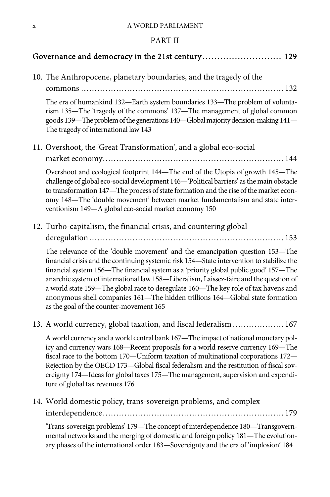#### PART II

#### Governance and democracy in the 21st century . . . . . . . . . . . . . . . . . . . . . . . . . . . 129

10. The Anthropocene, planetary boundaries, and the tragedy of the commons ........................................................................... 132 The era of humankind 132—Earth system boundaries 133—The problem of voluntarism 135—The 'tragedy of the commons' 137—The management of global common goods 139—The problem of the generations 140—Global majority decision-making 141— The tragedy of international law 143 11. Overshoot, the 'Great Transformation', and a global eco-social market economy ................................................................... 144 Overshoot and ecological footprint 144—The end of the Utopia of growth 145—The challenge of global eco-social development 146—'Political barriers' as the main obstacle to transformation 147—The process of state formation and the rise of the market economy 148—The 'double movement' between market fundamentalism and state interventionism 149—A global eco-social market economy 150 12. Turbo-capitalism, the financial crisis, and countering global deregulation ........................................................................ 153 The relevance of the 'double movement' and the emancipation question 153—The financial crisis and the continuing systemic risk 154—State intervention to stabilize the financial system 156—The financial system as a 'priority global public good' 157—The anarchic system of international law 158—Liberalism, Laissez-faire and the question of a world state 159—The global race to deregulate 160—The key role of tax havens and anonymous shell companies 161—The hidden trillions 164—Global state formation as the goal of the counter-movement 165 13. A world currency, global taxation, and fiscal federalism ................... 167 A world currency and a world central bank 167—The impact of national monetary policy and currency wars 168—Recent proposals for a world reserve currency 169—The fiscal race to the bottom 170—Uniform taxation of multinational corporations 172— Rejection by the OECD 173—Global fiscal federalism and the restitution of fiscal sovereignty 174—Ideas for global taxes 175—The management, supervision and expenditure of global tax revenues 176 14. World domestic policy, trans-sovereign problems, and complex interdependence ................................................................... 179

'Trans-sovereign problems' 179—The concept of interdependence 180—Transgovernmental networks and the merging of domestic and foreign policy 181—The evolutionary phases of the international order 183—Sovereignty and the era of 'implosion' 184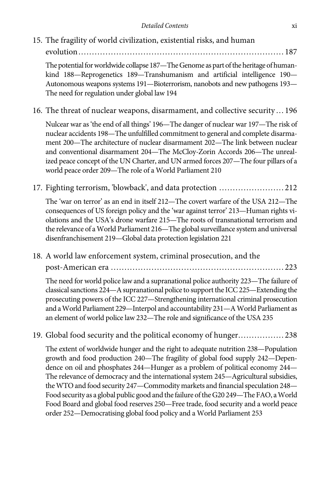15. The fragility of world civilization, existential risks, and human

evolution ............................................................................ 187

The potential for worldwide collapse 187—The Genome as part of the heritage of humankind 188—Reprogenetics 189—Transhumanism and artificial intelligence 190— Autonomous weapons systems 191—Bioterrorism, nanobots and new pathogens 193— The need for regulation under global law 194

16. The threat of nuclear weapons, disarmament, and collective security ... 196

Nulcear war as 'the end of all things' 196—The danger of nuclear war 197—The risk of nuclear accidents 198—The unfulfilled commitment to general and complete disarmament 200—The architecture of nuclear disarmament 202—The link between nuclear and conventional disarmament 204—The McCloy-Zorin Accords 206—The unrealized peace concept of the UN Charter, and UN armed forces 207—The four pillars of a world peace order 209—The role of a World Parliament 210

17. Fighting terrorism, 'blowback', and data protection ........................ 212

The 'war on terror' as an end in itself 212—The covert warfare of the USA 212—The consequences of US foreign policy and the 'war against terror' 213—Human rights violations and the USA's drone warfare 215—The roots of transnational terrorism and the relevance of a World Parliament 216—The global surveillance system and universal disenfranchisement 219—Global data protection legislation 221

18. A world law enforcement system, criminal prosecution, and the post-American era ................................................................ 223

The need for world police law and a supranational police authority 223—The failure of classical sanctions 224—A supranational police to support the ICC 225—Extending the prosecuting powers of the ICC 227—Strengthening international criminal prosecution and a World Parliament 229—Interpol and accountability 231—A World Parliament as an element of world police law 232—The role and significance of the USA 235

19. Global food security and the political economy of hunger ................. 238

The extent of worldwide hunger and the right to adequate nutrition 238—Population growth and food production 240—The fragility of global food supply 242—Dependence on oil and phosphates 244—Hunger as a problem of political economy 244— The relevance of democracy and the international system 245—Agricultural subsidies, the WTO and food security 247—Commodity markets and financial speculation 248— Food security as a global public good and the failure of the G20 249—The FAO, a World Food Board and global food reserves 250—Free trade, food security and a world peace order 252—Democratising global food policy and a World Parliament 253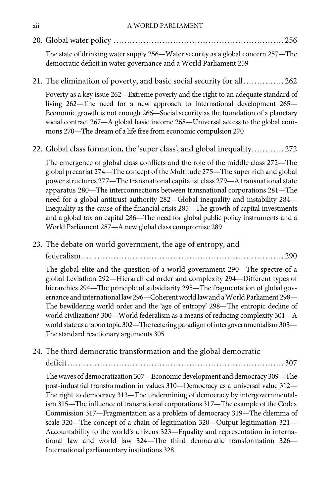20. Global water policy ............................................................... 256

The state of drinking water supply 256—Water security as a global concern 257—The democratic deficit in water governance and a World Parliament 259

21. The elimination of poverty, and basic social security for all ............... 262

Poverty as a key issue 262—Extreme poverty and the right to an adequate standard of living 262—The need for a new approach to international development 265— Economic growth is not enough 266—Social security as the foundation of a planetary social contract 267—A global basic income 268—Universal access to the global commons 270—The dream of a life free from economic compulsion 270

22. Global class formation, the 'super class', and global inequality ............ 272

The emergence of global class conflicts and the role of the middle class 272—The global precariat 274—The concept of the Multitude 275—The super rich and global power structures 277—The transnational capitalist class 279—A transnational state apparatus 280—The interconnections between transnational corporations 281—The need for a global antitrust authority 282—Global inequality and instability 284— Inequality as the cause of the financial crisis 285—The growth of capital investments and a global tax on capital 286—The need for global public policy instruments and a World Parliament 287—A new global class compromise 289

23. The debate on world government, the age of entropy, and federalism ........................................................................... 290

The global elite and the question of a world government 290—The spectre of a global Leviathan 292—Hierarchical order and complexity 294—Different types of hierarchies 294—The principle of subsidiarity 295—The fragmentation of global governance and international law 296—Coherent world law and a World Parliament 298— The bewildering world order and the 'age of entropy' 298—The entropic decline of world civilization? 300—World federalism as a means of reducing complexity 301—A world state as a taboo topic 302—The teetering paradigm of intergovernmentalism 303— The standard reactionary arguments 305

24. The third democratic transformation and the global democratic

deficit ................................................................................ 307

The waves of democratization 307—Economic development and democracy 309—The post-industrial transformation in values 310—Democracy as a universal value 312— The right to democracy 313—The undermining of democracy by intergovernmentalism 315—The influence of transnational corporations 317—The example of the Codex Commission 317—Fragmentation as a problem of democracy 319—The dilemma of scale 320—The concept of a chain of legitimation 320—Output legitimation 321— Accountability to the world's citizens 323—Equality and representation in international law and world law 324—The third democratic transformation 326— International parliamentary institutions 328